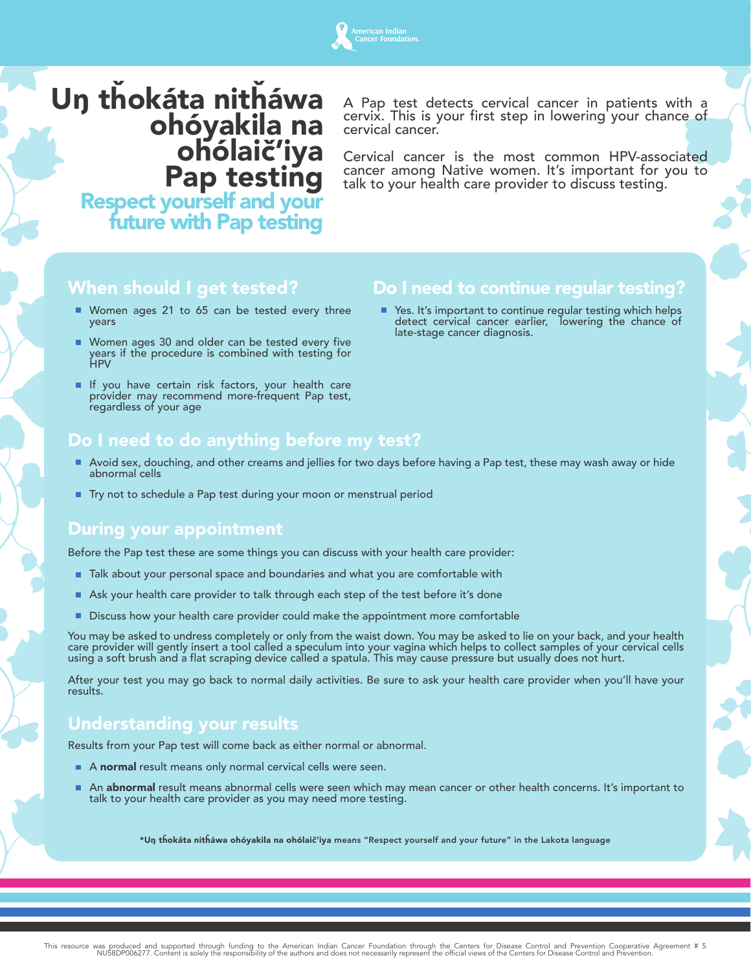## เerican Indian<br>เncer Foundation

## U**ŋ** tȟokáta nitȟáwa ohóyakila na ohólaič'iya **Pap testing<br>Respect yourself and your<br>future with Pap testing**

A Pap test detects cervical cancer in patients with a cervix. This is your first step in lowering your chance of cervical cancer.

Cervical cancer is the most common HPV-associated cancer among Native women. It's important for you to talk to your health care provider to discuss testing.

## When should I get tested?

- Women ages 21 to 65 can be tested every three years
- Women ages 30 and older can be tested every five years if the procedure is combined with testing for HPV
- If you have certain risk factors, your health care provider may recommend more-frequent Pap test, regardless of your age

## Do I need to do anything before my test?

- Avoid sex, douching, and other creams and jellies for two days before having a Pap test, these may wash away or hide abnormal cells
- Try not to schedule a Pap test during your moon or menstrual period

### During your appointment

Before the Pap test these are some things you can discuss with your health care provider:

- Talk about your personal space and boundaries and what you are comfortable with
- Ask your health care provider to talk through each step of the test before it's done
- Discuss how your health care provider could make the appointment more comfortable

You may be asked to undress completely or only from the waist down. You may be asked to lie on your back, and your health care provider will gently insert a tool called a speculum into your vagina which helps to collect samples of your cervical cells using a soft brush and a flat scraping device called a spatula. This may cause pressure but usually does not hurt.

After your test you may go back to normal daily activities. Be sure to ask your health care provider when you'll have your results.

### Understanding your results

Results from your Pap test will come back as either normal or abnormal.

- A normal result means only normal cervical cells were seen.
- m. An abnormal result means abnormal cells were seen which may mean cancer or other health concerns. It's important to talk to your health care provider as you may need more testing.

\*U**ŋ** tȟokáta nitȟáwa ohóyakila na ohólaič'iya means "Respect yourself and your future" in the Lakota language

## Do I need to continue regular testing?

■ Yes. It's important to continue regular testing which helps detect cervical cancer earlier, lowering the chance of late-stage cancer diagnosis.